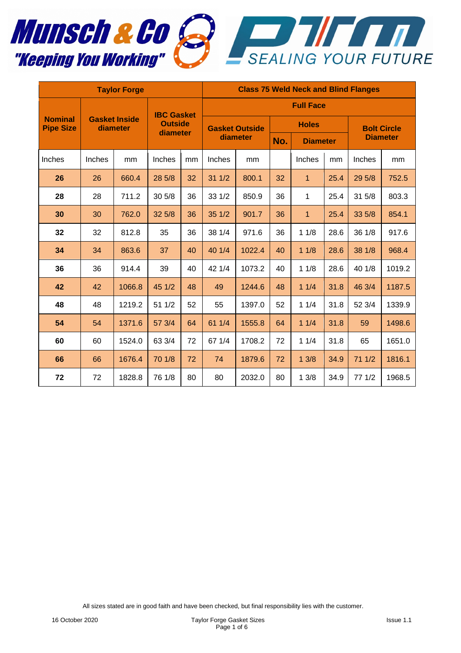



| <b>Taylor Forge</b>                |                                  |        |                                                 |    | <b>Class 75 Weld Neck and Blind Flanges</b> |        |     |                 |                                       |        |        |  |  |
|------------------------------------|----------------------------------|--------|-------------------------------------------------|----|---------------------------------------------|--------|-----|-----------------|---------------------------------------|--------|--------|--|--|
|                                    | <b>Gasket Inside</b><br>diameter |        | <b>IBC Gasket</b><br><b>Outside</b><br>diameter |    | <b>Full Face</b>                            |        |     |                 |                                       |        |        |  |  |
| <b>Nominal</b><br><b>Pipe Size</b> |                                  |        |                                                 |    | <b>Gasket Outside</b><br>diameter           |        |     | <b>Holes</b>    | <b>Bolt Circle</b><br><b>Diameter</b> |        |        |  |  |
|                                    |                                  |        |                                                 |    |                                             |        | No. | <b>Diameter</b> |                                       |        |        |  |  |
| Inches                             | Inches                           | mm     | Inches                                          | mm | Inches                                      | mm     |     | Inches          | mm                                    | Inches | mm     |  |  |
| 26                                 | 26                               | 660.4  | 28 5/8                                          | 32 | 311/2                                       | 800.1  | 32  | 1               | 25.4                                  | 29 5/8 | 752.5  |  |  |
| 28                                 | 28                               | 711.2  | 30 5/8                                          | 36 | 33 1/2                                      | 850.9  | 36  | 1               | 25.4                                  | 31 5/8 | 803.3  |  |  |
| 30                                 | 30                               | 762.0  | 32 5/8                                          | 36 | 351/2                                       | 901.7  | 36  | 1               | 25.4                                  | 33 5/8 | 854.1  |  |  |
| 32                                 | 32                               | 812.8  | 35                                              | 36 | 38 1/4                                      | 971.6  | 36  | 11/8            | 28.6                                  | 36 1/8 | 917.6  |  |  |
| 34                                 | 34                               | 863.6  | 37                                              | 40 | 40 1/4                                      | 1022.4 | 40  | 11/8            | 28.6                                  | 38 1/8 | 968.4  |  |  |
| 36                                 | 36                               | 914.4  | 39                                              | 40 | 42 1/4                                      | 1073.2 | 40  | 11/8            | 28.6                                  | 40 1/8 | 1019.2 |  |  |
| 42                                 | 42                               | 1066.8 | 45 1/2                                          | 48 | 49                                          | 1244.6 | 48  | 11/4            | 31.8                                  | 46 3/4 | 1187.5 |  |  |
| 48                                 | 48                               | 1219.2 | 51 1/2                                          | 52 | 55                                          | 1397.0 | 52  | 11/4            | 31.8                                  | 52 3/4 | 1339.9 |  |  |
| 54                                 | 54                               | 1371.6 | 57 3/4                                          | 64 | 61 1/4                                      | 1555.8 | 64  | 11/4            | 31.8                                  | 59     | 1498.6 |  |  |
| 60                                 | 60                               | 1524.0 | 63 3/4                                          | 72 | 67 1/4                                      | 1708.2 | 72  | 11/4            | 31.8                                  | 65     | 1651.0 |  |  |
| 66                                 | 66                               | 1676.4 | 70 1/8                                          | 72 | 74                                          | 1879.6 | 72  | 13/8            | 34.9                                  | 71 1/2 | 1816.1 |  |  |
| 72                                 | 72                               | 1828.8 | 76 1/8                                          | 80 | 80                                          | 2032.0 | 80  | 13/8            | 34.9                                  | 77 1/2 | 1968.5 |  |  |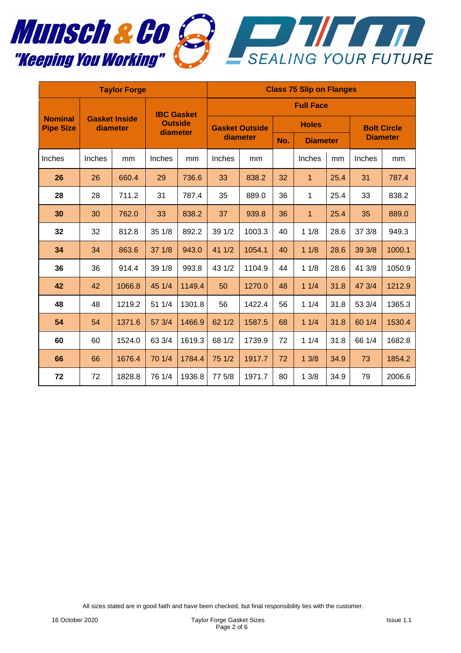

| <b>Taylor Forge</b>                |                                  |        |                            |                   | <b>Class 75 Slip on Flanges</b>   |                  |              |                 |      |                    |        |  |  |  |
|------------------------------------|----------------------------------|--------|----------------------------|-------------------|-----------------------------------|------------------|--------------|-----------------|------|--------------------|--------|--|--|--|
|                                    | <b>Gasket Inside</b><br>diameter |        |                            | <b>IBC Gasket</b> |                                   | <b>Full Face</b> |              |                 |      |                    |        |  |  |  |
| <b>Nominal</b><br><b>Pipe Size</b> |                                  |        | <b>Outside</b><br>diameter |                   | <b>Gasket Outside</b><br>diameter |                  | <b>Holes</b> |                 |      | <b>Bolt Circle</b> |        |  |  |  |
|                                    |                                  |        |                            |                   |                                   |                  | No.          | <b>Diameter</b> |      | <b>Diameter</b>    |        |  |  |  |
| Inches                             | Inches                           | mm     | Inches                     | mm                | Inches                            | mm               |              | Inches          | mm   | Inches             | mm     |  |  |  |
| 26                                 | 26                               | 660.4  | 29                         | 736.6             | 33                                | 838.2            | 32           | $\mathbf{1}$    | 25.4 | 31                 | 787.4  |  |  |  |
| 28                                 | 28                               | 711.2  | 31                         | 787.4             | 35                                | 889.0            | 36           | 1               | 25.4 | 33                 | 838.2  |  |  |  |
| 30                                 | 30                               | 762.0  | 33                         | 838.2             | 37                                | 939.8            | 36           | $\mathbf{1}$    | 25.4 | 35                 | 889.0  |  |  |  |
| 32                                 | 32                               | 812.8  | 351/8                      | 892.2             | 39 1/2                            | 1003.3           | 40           | 11/8            | 28.6 | 37 3/8             | 949.3  |  |  |  |
| 34                                 | 34                               | 863.6  | 371/8                      | 943.0             | 41 1/2                            | 1054.1           | 40           | 11/8            | 28.6 | 39 3/8             | 1000.1 |  |  |  |
| 36                                 | 36                               | 914.4  | 39 1/8                     | 993.8             | 43 1/2                            | 1104.9           | 44           | 11/8            | 28.6 | 41 3/8             | 1050.9 |  |  |  |
| 42                                 | 42                               | 1066.8 | 45 1/4                     | 1149.4            | 50                                | 1270.0           | 48           | 11/4            | 31.8 | 47 3/4             | 1212.9 |  |  |  |
| 48                                 | 48                               | 1219.2 | 51 1/4                     | 1301.8            | 56                                | 1422.4           | 56           | 11/4            | 31.8 | 53 3/4             | 1365.3 |  |  |  |
| 54                                 | 54                               | 1371.6 | 57 3/4                     | 1466.9            | 62 1/2                            | 1587.5           | 68           | 11/4            | 31.8 | 60 1/4             | 1530.4 |  |  |  |
| 60                                 | 60                               | 1524.0 | 63 3/4                     | 1619.3            | 68 1/2                            | 1739.9           | 72           | 11/4            | 31.8 | 66 1/4             | 1682.8 |  |  |  |
| 66                                 | 66                               | 1676.4 | 70 1/4                     | 1784.4            | 75 1/2                            | 1917.7           | 72           | 13/8            | 34.9 | 73                 | 1854.2 |  |  |  |
| 72                                 | 72                               | 1828.8 | 76 1/4                     | 1936.8            | 77 5/8                            | 1971.7           | 80           | 13/8            | 34.9 | 79                 | 2006.6 |  |  |  |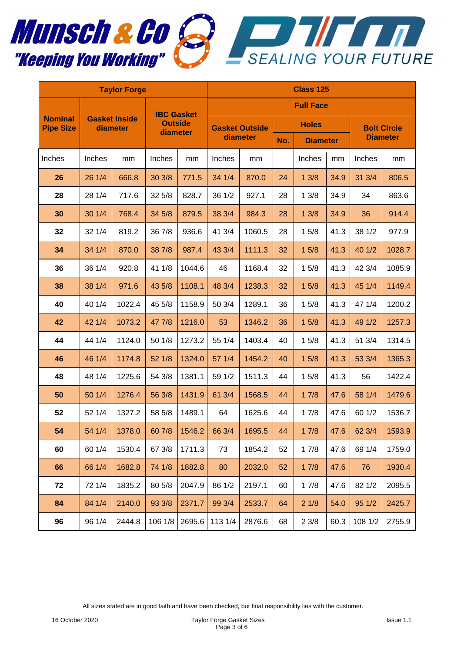



| <b>Taylor Forge</b>                |                                  |        |                            |        | <b>Class 125</b>                  |        |              |                 |      |                    |        |  |
|------------------------------------|----------------------------------|--------|----------------------------|--------|-----------------------------------|--------|--------------|-----------------|------|--------------------|--------|--|
|                                    |                                  |        | <b>IBC Gasket</b>          |        | <b>Full Face</b>                  |        |              |                 |      |                    |        |  |
| <b>Nominal</b><br><b>Pipe Size</b> | <b>Gasket Inside</b><br>diameter |        | <b>Outside</b><br>diameter |        | <b>Gasket Outside</b><br>diameter |        | <b>Holes</b> |                 |      | <b>Bolt Circle</b> |        |  |
|                                    |                                  |        |                            |        |                                   |        | No.          | <b>Diameter</b> |      | <b>Diameter</b>    |        |  |
| Inches                             | Inches                           | mm     | Inches                     | mm     | Inches                            | mm     |              | Inches          | mm   | Inches             | mm     |  |
| 26                                 | 26 1/4                           | 666.8  | 30 3/8                     | 771.5  | 34 1/4                            | 870.0  | 24           | 13/8            | 34.9 | 31 3/4             | 806.5  |  |
| 28                                 | 28 1/4                           | 717.6  | 32 5/8                     | 828.7  | 36 1/2                            | 927.1  | 28           | 13/8            | 34.9 | 34                 | 863.6  |  |
| 30                                 | 30 1/4                           | 768.4  | 34 5/8                     | 879.5  | 38 3/4                            | 984.3  | 28           | 13/8            | 34.9 | 36                 | 914.4  |  |
| 32                                 | 32 1/4                           | 819.2  | 36 7/8                     | 936.6  | 41 3/4                            | 1060.5 | 28           | 15/8            | 41.3 | 38 1/2             | 977.9  |  |
| 34                                 | 34 1/4                           | 870.0  | 38 7/8                     | 987.4  | 43 3/4                            | 1111.3 | 32           | 15/8            | 41.3 | 40 1/2             | 1028.7 |  |
| 36                                 | 36 1/4                           | 920.8  | 41 1/8                     | 1044.6 | 46                                | 1168.4 | 32           | 15/8            | 41.3 | 42 3/4             | 1085.9 |  |
| 38                                 | 38 1/4                           | 971.6  | 43 5/8                     | 1108.1 | 48 3/4                            | 1238.3 | 32           | 15/8            | 41.3 | 45 1/4             | 1149.4 |  |
| 40                                 | 40 1/4                           | 1022.4 | 45 5/8                     | 1158.9 | 50 3/4                            | 1289.1 | 36           | 15/8            | 41.3 | 47 1/4             | 1200.2 |  |
| 42                                 | 42 1/4                           | 1073.2 | 47 7/8                     | 1216.0 | 53                                | 1346.2 | 36           | 15/8            | 41.3 | 49 1/2             | 1257.3 |  |
| 44                                 | 44 1/4                           | 1124.0 | 50 1/8                     | 1273.2 | 55 1/4                            | 1403.4 | 40           | 15/8            | 41.3 | 51 3/4             | 1314.5 |  |
| 46                                 | 46 1/4                           | 1174.8 | 52 1/8                     | 1324.0 | 57 1/4                            | 1454.2 | 40           | 15/8            | 41.3 | 53 3/4             | 1365.3 |  |
| 48                                 | 48 1/4                           | 1225.6 | 54 3/8                     | 1381.1 | 59 1/2                            | 1511.3 | 44           | 15/8            | 41.3 | 56                 | 1422.4 |  |
| 50                                 | 50 1/4                           | 1276.4 | 56 3/8                     | 1431.9 | 61 3/4                            | 1568.5 | 44           | 17/8            | 47.6 | 58 1/4             | 1479.6 |  |
| 52                                 | 52 1/4                           | 1327.2 | 58 5/8                     | 1489.1 | 64                                | 1625.6 | 44           | 17/8            | 47.6 | 60 1/2             | 1536.7 |  |
| 54                                 | 54 1/4                           | 1378.0 | 60 7/8                     | 1546.2 | 66 3/4                            | 1695.5 | 44           | 17/8            | 47.6 | 62 3/4             | 1593.9 |  |
| 60                                 | 60 1/4                           | 1530.4 | 67 3/8                     | 1711.3 | 73                                | 1854.2 | 52           | 17/8            | 47.6 | 69 1/4             | 1759.0 |  |
| 66                                 | 66 1/4                           | 1682.8 | 74 1/8                     | 1882.8 | 80                                | 2032.0 | 52           | 17/8            | 47.6 | 76                 | 1930.4 |  |
| 72                                 | 72 1/4                           | 1835.2 | 80 5/8                     | 2047.9 | 86 1/2                            | 2197.1 | 60           | 17/8            | 47.6 | 82 1/2             | 2095.5 |  |
| 84                                 | 84 1/4                           | 2140.0 | 93 3/8                     | 2371.7 | 99 3/4                            | 2533.7 | 64           | 21/8            | 54.0 | 95 1/2             | 2425.7 |  |
| 96                                 | 96 1/4                           | 2444.8 | 106 1/8                    | 2695.6 | 113 1/4                           | 2876.6 | 68           | 23/8            | 60.3 | 108 1/2            | 2755.9 |  |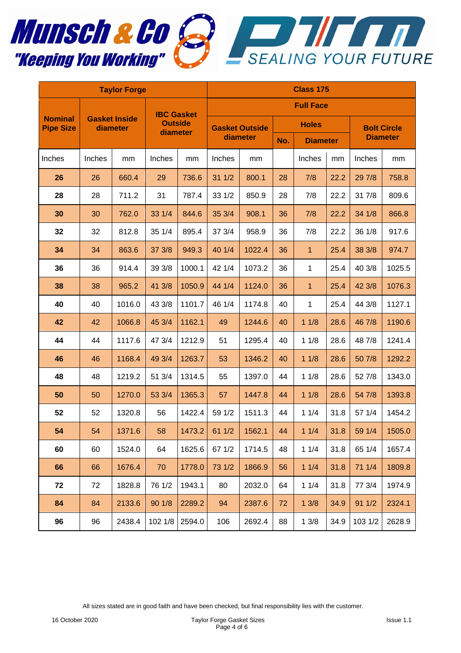



| <b>Taylor Forge</b>                |                                  |        |                   |                | <b>Class 175</b> |                       |     |                 |      |                 |                    |  |
|------------------------------------|----------------------------------|--------|-------------------|----------------|------------------|-----------------------|-----|-----------------|------|-----------------|--------------------|--|
|                                    |                                  |        | <b>IBC Gasket</b> |                | <b>Full Face</b> |                       |     |                 |      |                 |                    |  |
| <b>Nominal</b><br><b>Pipe Size</b> | <b>Gasket Inside</b><br>diameter |        |                   | <b>Outside</b> |                  | <b>Gasket Outside</b> |     | <b>Holes</b>    |      |                 | <b>Bolt Circle</b> |  |
|                                    |                                  |        | diameter          |                | diameter         |                       | No. | <b>Diameter</b> |      | <b>Diameter</b> |                    |  |
| Inches                             | Inches                           | mm     | Inches            | mm             | Inches           | mm                    |     | Inches          | mm   | Inches          | mm                 |  |
| 26                                 | 26                               | 660.4  | 29                | 736.6          | 311/2            | 800.1                 | 28  | 7/8             | 22.2 | 29 7/8          | 758.8              |  |
| 28                                 | 28                               | 711.2  | 31                | 787.4          | 33 1/2           | 850.9                 | 28  | 7/8             | 22.2 | 31 7/8          | 809.6              |  |
| 30                                 | 30                               | 762.0  | 33 1/4            | 844.6          | 35 3/4           | 908.1                 | 36  | 7/8             | 22.2 | 34 1/8          | 866.8              |  |
| 32                                 | 32                               | 812.8  | 35 1/4            | 895.4          | 37 3/4           | 958.9                 | 36  | 7/8             | 22.2 | 36 1/8          | 917.6              |  |
| 34                                 | 34                               | 863.6  | 37 3/8            | 949.3          | 40 1/4           | 1022.4                | 36  | 1               | 25.4 | 38 3/8          | 974.7              |  |
| 36                                 | 36                               | 914.4  | 39 3/8            | 1000.1         | 42 1/4           | 1073.2                | 36  | 1               | 25.4 | 40 3/8          | 1025.5             |  |
| 38                                 | 38                               | 965.2  | 41 3/8            | 1050.9         | 44 1/4           | 1124.0                | 36  | $\mathbf{1}$    | 25.4 | 42 3/8          | 1076.3             |  |
| 40                                 | 40                               | 1016.0 | 43 3/8            | 1101.7         | 46 1/4           | 1174.8                | 40  | 1               | 25.4 | 44 3/8          | 1127.1             |  |
| 42                                 | 42                               | 1066.8 | 45 3/4            | 1162.1         | 49               | 1244.6                | 40  | 11/8            | 28.6 | 46 7/8          | 1190.6             |  |
| 44                                 | 44                               | 1117.6 | 47 3/4            | 1212.9         | 51               | 1295.4                | 40  | 11/8            | 28.6 | 48 7/8          | 1241.4             |  |
| 46                                 | 46                               | 1168.4 | 49 3/4            | 1263.7         | 53               | 1346.2                | 40  | 11/8            | 28.6 | 50 7/8          | 1292.2             |  |
| 48                                 | 48                               | 1219.2 | 51 3/4            | 1314.5         | 55               | 1397.0                | 44  | 11/8            | 28.6 | 52 7/8          | 1343.0             |  |
| 50                                 | 50                               | 1270.0 | 53 3/4            | 1365.3         | 57               | 1447.8                | 44  | 11/8            | 28.6 | 54 7/8          | 1393.8             |  |
| 52                                 | 52                               | 1320.8 | 56                | 1422.4         | 59 1/2           | 1511.3                | 44  | 11/4            | 31.8 | 57 1/4          | 1454.2             |  |
| 54                                 | 54                               | 1371.6 | 58                | 1473.2         | 611/2            | 1562.1                | 44  | 11/4            | 31.8 | 59 1/4          | 1505.0             |  |
| 60                                 | 60                               | 1524.0 | 64                | 1625.6         | 67 1/2           | 1714.5                | 48  | 11/4            | 31.8 | 65 1/4          | 1657.4             |  |
| 66                                 | 66                               | 1676.4 | 70                | 1778.0         | 73 1/2           | 1866.9                | 56  | 11/4            | 31.8 | 71 1/4          | 1809.8             |  |
| 72                                 | 72                               | 1828.8 | 76 1/2            | 1943.1         | 80               | 2032.0                | 64  | 11/4            | 31.8 | 77 3/4          | 1974.9             |  |
| 84                                 | 84                               | 2133.6 | 90 1/8            | 2289.2         | 94               | 2387.6                | 72  | 13/8            | 34.9 | 911/2           | 2324.1             |  |
| 96                                 | 96                               | 2438.4 | 102 1/8           | 2594.0         | 106              | 2692.4                | 88  | 13/8            | 34.9 | 103 1/2         | 2628.9             |  |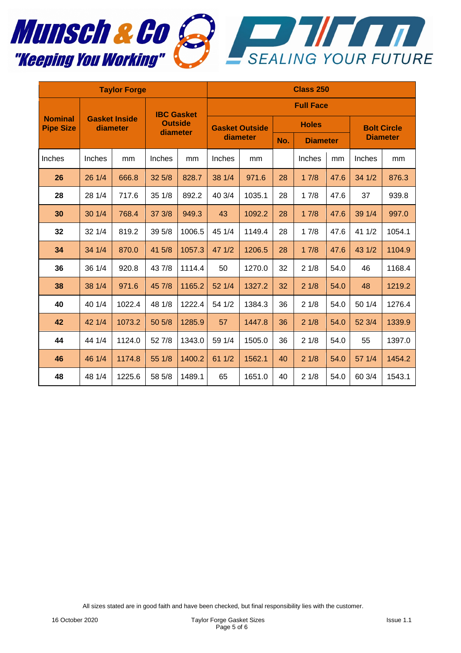

| <b>Taylor Forge</b>                |                                  |        |                                                 |        | <b>Class 250</b>                  |        |              |                 |      |                    |        |  |
|------------------------------------|----------------------------------|--------|-------------------------------------------------|--------|-----------------------------------|--------|--------------|-----------------|------|--------------------|--------|--|
|                                    | <b>Gasket Inside</b><br>diameter |        | <b>IBC Gasket</b><br><b>Outside</b><br>diameter |        | <b>Full Face</b>                  |        |              |                 |      |                    |        |  |
| <b>Nominal</b><br><b>Pipe Size</b> |                                  |        |                                                 |        | <b>Gasket Outside</b><br>diameter |        | <b>Holes</b> |                 |      | <b>Bolt Circle</b> |        |  |
|                                    |                                  |        |                                                 |        |                                   |        | No.          | <b>Diameter</b> |      | <b>Diameter</b>    |        |  |
| Inches                             | Inches                           | mm     | Inches                                          | mm     | Inches                            | mm     |              | Inches          | mm   | Inches             | mm     |  |
| 26                                 | 26 1/4                           | 666.8  | 325/8                                           | 828.7  | 38 1/4                            | 971.6  | 28           | 17/8            | 47.6 | 34 1/2             | 876.3  |  |
| 28                                 | 28 1/4                           | 717.6  | 35 1/8                                          | 892.2  | 40 3/4                            | 1035.1 | 28           | 17/8            | 47.6 | 37                 | 939.8  |  |
| 30                                 | 301/4                            | 768.4  | 37 3/8                                          | 949.3  | 43                                | 1092.2 | 28           | 17/8            | 47.6 | 39 1/4             | 997.0  |  |
| 32                                 | 321/4                            | 819.2  | 39 5/8                                          | 1006.5 | 45 1/4                            | 1149.4 | 28           | 17/8            | 47.6 | 41 1/2             | 1054.1 |  |
| 34                                 | 34 1/4                           | 870.0  | 41 5/8                                          | 1057.3 | 47 1/2                            | 1206.5 | 28           | 17/8            | 47.6 | 43 1/2             | 1104.9 |  |
| 36                                 | 36 1/4                           | 920.8  | 43 7/8                                          | 1114.4 | 50                                | 1270.0 | 32           | 21/8            | 54.0 | 46                 | 1168.4 |  |
| 38                                 | 38 1/4                           | 971.6  | 45 7/8                                          | 1165.2 | 52 1/4                            | 1327.2 | 32           | 21/8            | 54.0 | 48                 | 1219.2 |  |
| 40                                 | 40 1/4                           | 1022.4 | 48 1/8                                          | 1222.4 | 54 1/2                            | 1384.3 | 36           | 21/8            | 54.0 | 50 1/4             | 1276.4 |  |
| 42                                 | 42 1/4                           | 1073.2 | 50 5/8                                          | 1285.9 | 57                                | 1447.8 | 36           | 21/8            | 54.0 | 52 3/4             | 1339.9 |  |
| 44                                 | 44 1/4                           | 1124.0 | 52 7/8                                          | 1343.0 | 59 1/4                            | 1505.0 | 36           | 21/8            | 54.0 | 55                 | 1397.0 |  |
| 46                                 | 46 1/4                           | 1174.8 | 55 1/8                                          | 1400.2 | 61 1/2                            | 1562.1 | 40           | 21/8            | 54.0 | 57 1/4             | 1454.2 |  |
| 48                                 | 48 1/4                           | 1225.6 | 58 5/8                                          | 1489.1 | 65                                | 1651.0 | 40           | 21/8            | 54.0 | 60 3/4             | 1543.1 |  |